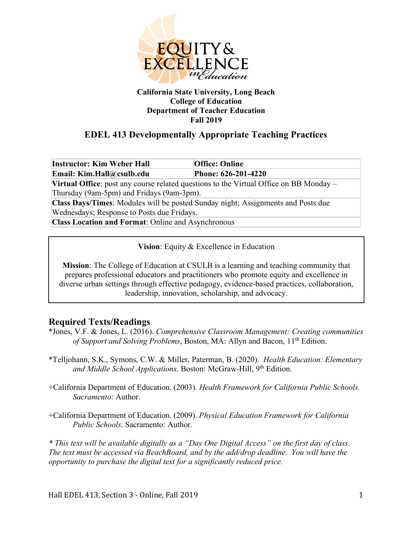

#### **California State University, Long Beach College of Education Department of Teacher Education Fall 2019**

# **EDEL 413 Developmentally Appropriate Teaching Practices**

**Instructor: Kim Weber Hall Office: Online Email: Kim.Hall@csulb.edu Phone: 626-201-4220**

**Virtual Office**: post any course related questions to the Virtual Office on BB Monday – Thursday (9am-5pm) and Fridays (9am-3pm).

**Class Days/Times**: Modules will be posted Sunday night; Assignments and Posts due Wednesdays; Response to Posts due Fridays.

**Class Location and Format**: Online and Asynchronous

**Vision**: Equity & Excellence in Education

**Mission**: The College of Education at CSULB is a learning and teaching community that prepares professional educators and practitioners who promote equity and excellence in diverse urban settings through effective pedagogy, evidence-based practices, collaboration, leadership, innovation, scholarship, and advocacy.

## **Required Texts/Readings**

- \*Jones, V.F. & Jones, L. (2016). *Comprehensive Classroom Management: Creating communities of Support and Solving Problems*, Boston, MA: Allyn and Bacon, 11<sup>th</sup> Edition.
- \*Telljohann, S.K., Symons, C.W. & Miller, Paterman, B. (2020). *Health Education: Elementary*  and Middle School *Applications.* Boston: McGraw-Hill, 9<sup>th</sup> Edition.
- +California Department of Education. (2003). *Health Framework for California Public Schools. Sacramento*: Author.

+California Department of Education. (2009). *Physical Education Framework for California Public Schools*. Sacramento: Author.

*\* This text will be available digitally as a "Day One Digital Access" on the first day of class. The text must be accessed via BeachBoard, and by the add/drop deadline. You will have the opportunity to purchase the digital text for a significantly reduced price.*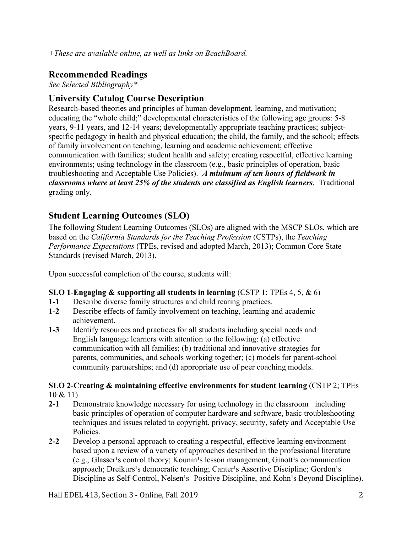# **Recommended Readings**

*See Selected Bibliography\**

## **University Catalog Course Description**

Research-based theories and principles of human development, learning, and motivation; educating the "whole child;" developmental characteristics of the following age groups: 5-8 years, 9-11 years, and 12-14 years; developmentally appropriate teaching practices; subjectspecific pedagogy in health and physical education; the child, the family, and the school; effects of family involvement on teaching, learning and academic achievement; effective communication with families; student health and safety; creating respectful, effective learning environments; using technology in the classroom (e.g., basic principles of operation, basic troubleshooting and Acceptable Use Policies). *A minimum of ten hours of fieldwork in classrooms where at least 25% of the students are classified as English learners*. Traditional grading only.

# **Student Learning Outcomes (SLO)**

The following Student Learning Outcomes (SLOs) are aligned with the MSCP SLOs, which are based on the *California Standards for the Teaching Profession* (CSTPs), the *Teaching Performance Expectations* (TPEs, revised and adopted March, 2013); Common Core State Standards (revised March, 2013).

Upon successful completion of the course, students will:

#### **SLO 1**-**Engaging & supporting all students in learning** (CSTP 1; TPEs 4, 5, & 6)

- **1-1** Describe diverse family structures and child rearing practices.
- **1-2** Describe effects of family involvement on teaching, learning and academic achievement.
- **1-3** Identify resources and practices for all students including special needs and English language learners with attention to the following: (a) effective communication with all families; (b) traditional and innovative strategies for parents, communities, and schools working together; (c) models for parent-school community partnerships; and (d) appropriate use of peer coaching models.

# **SLO 2**-**Creating & maintaining effective environments for student learning** (CSTP 2; TPEs

10 & 11)

- **2-1** Demonstrate knowledge necessary for using technology in the classroom including basic principles of operation of computer hardware and software, basic troubleshooting techniques and issues related to copyright, privacy, security, safety and Acceptable Use Policies.
- **2-2** Develop a personal approach to creating a respectful, effective learning environment based upon a review of a variety of approaches described in the professional literature  $(e.g., Glasser<sup>1</sup>s control theory: Kounin<sup>1</sup>s lesson management; Ginott<sup>1</sup>s communication)$ approach; Dreikurs<sup>1</sup>s democratic teaching; Canter<sup>1</sup>s Assertive Discipline; Gordon<sup>1</sup>s Discipline as Self-Control, Nelsen<sup>1</sup>s Positive Discipline, and Kohn<sup>1</sup>s Beyond Discipline).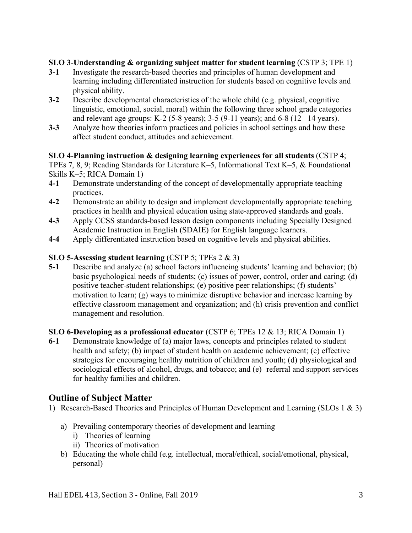## **SLO 3**-**Understanding & organizing subject matter for student learning** (CSTP 3; TPE 1)

- **3-1** Investigate the research-based theories and principles of human development and learning including differentiated instruction for students based on cognitive levels and physical ability.
- **3-2** Describe developmental characteristics of the whole child (e.g. physical, cognitive linguistic, emotional, social, moral) within the following three school grade categories and relevant age groups: K-2 (5-8 years);  $3-5$  (9-11 years); and 6-8 (12 –14 years).
- **3-3** Analyze how theories inform practices and policies in school settings and how these affect student conduct, attitudes and achievement.

## **SLO 4**-**Planning instruction & designing learning experiences for all students** (CSTP 4;

TPEs 7, 8, 9; Reading Standards for Literature K–5, Informational Text K–5, & Foundational Skills K–5; RICA Domain 1)

- **4-1** Demonstrate understanding of the concept of developmentally appropriate teaching practices.
- **4-2** Demonstrate an ability to design and implement developmentally appropriate teaching practices in health and physical education using state-approved standards and goals.
- **4-3** Apply CCSS standards-based lesson design components including Specially Designed Academic Instruction in English (SDAIE) for English language learners.
- **4-4** Apply differentiated instruction based on cognitive levels and physical abilities.

## **SLO 5**-**Assessing student learning** (CSTP 5; TPEs 2 & 3)

**5-1** Describe and analyze (a) school factors influencing students' learning and behavior; (b) basic psychological needs of students; (c) issues of power, control, order and caring; (d) positive teacher-student relationships; (e) positive peer relationships; (f) students' motivation to learn; (g) ways to minimize disruptive behavior and increase learning by effective classroom management and organization; and (h) crisis prevention and conflict management and resolution.

## **SLO 6**-**Developing as a professional educator** (CSTP 6; TPEs 12 & 13; RICA Domain 1)

**6-1** Demonstrate knowledge of (a) major laws, concepts and principles related to student health and safety; (b) impact of student health on academic achievement; (c) effective strategies for encouraging healthy nutrition of children and youth; (d) physiological and sociological effects of alcohol, drugs, and tobacco; and (e) referral and support services for healthy families and children.

## **Outline of Subject Matter**

- 1) Research-Based Theories and Principles of Human Development and Learning (SLOs 1 & 3)
	- a) Prevailing contemporary theories of development and learning
		- i) Theories of learning
		- ii) Theories of motivation
	- b) Educating the whole child (e.g. intellectual, moral/ethical, social/emotional, physical, personal)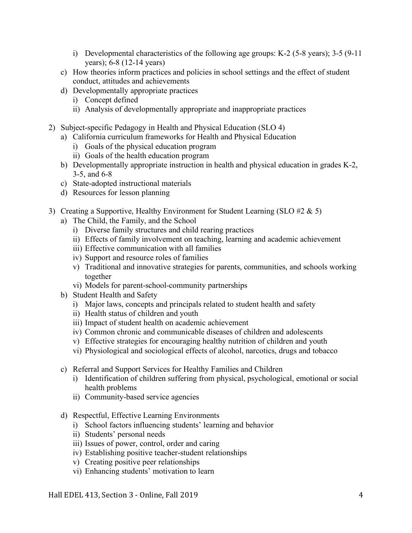- i) Developmental characteristics of the following age groups: K-2 (5-8 years);  $3-5$  (9-11) years); 6-8 (12-14 years)
- c) How theories inform practices and policies in school settings and the effect of student conduct, attitudes and achievements
- d) Developmentally appropriate practices
	- i) Concept defined
	- ii) Analysis of developmentally appropriate and inappropriate practices
- 2) Subject-specific Pedagogy in Health and Physical Education (SLO 4)
	- a) California curriculum frameworks for Health and Physical Education
		- i) Goals of the physical education program
		- ii) Goals of the health education program
	- b) Developmentally appropriate instruction in health and physical education in grades K-2, 3-5, and 6-8
	- c) State-adopted instructional materials
	- d) Resources for lesson planning
- 3) Creating a Supportive, Healthy Environment for Student Learning (SLO  $\#2 \& 5$ )
	- a) The Child, the Family, and the School
		- i) Diverse family structures and child rearing practices
		- ii) Effects of family involvement on teaching, learning and academic achievement
		- iii) Effective communication with all families
		- iv) Support and resource roles of families
		- v) Traditional and innovative strategies for parents, communities, and schools working together
		- vi) Models for parent-school-community partnerships
	- b) Student Health and Safety
		- i) Major laws, concepts and principals related to student health and safety
		- ii) Health status of children and youth
		- iii) Impact of student health on academic achievement
		- iv) Common chronic and communicable diseases of children and adolescents
		- v) Effective strategies for encouraging healthy nutrition of children and youth
		- vi) Physiological and sociological effects of alcohol, narcotics, drugs and tobacco
	- c) Referral and Support Services for Healthy Families and Children
		- i) Identification of children suffering from physical, psychological, emotional or social health problems
		- ii) Community-based service agencies
	- d) Respectful, Effective Learning Environments
		- i) School factors influencing students' learning and behavior
		- ii) Students' personal needs
		- iii) Issues of power, control, order and caring
		- iv) Establishing positive teacher-student relationships
		- v) Creating positive peer relationships
		- vi) Enhancing students' motivation to learn

Hall EDEL 413, Section 3 - Online, Fall 2019 4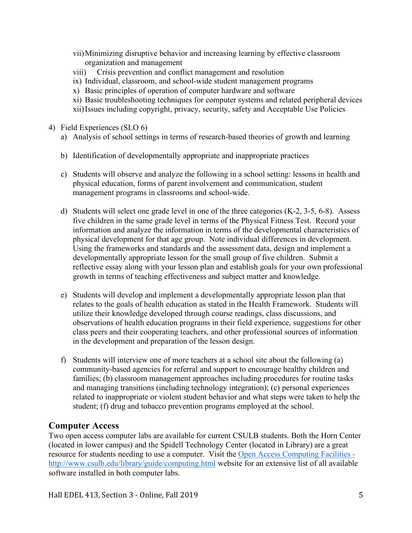- vii)Minimizing disruptive behavior and increasing learning by effective classroom organization and management
- viii) Crisis prevention and conflict management and resolution
- ix) Individual, classroom, and school-wide student management programs
- x) Basic principles of operation of computer hardware and software
- xi) Basic troubleshooting techniques for computer systems and related peripheral devices
- xii)Issues including copyright, privacy, security, safety and Acceptable Use Policies
- 4) Field Experiences (SLO 6)
	- a) Analysis of school settings in terms of research-based theories of growth and learning
	- b) Identification of developmentally appropriate and inappropriate practices
	- c) Students will observe and analyze the following in a school setting: lessons in health and physical education, forms of parent involvement and communication, student management programs in classrooms and school-wide.
	- d) Students will select one grade level in one of the three categories (K-2, 3-5, 6-8). Assess five children in the same grade level in terms of the Physical Fitness Test. Record your information and analyze the information in terms of the developmental characteristics of physical development for that age group. Note individual differences in development. Using the frameworks and standards and the assessment data, design and implement a developmentally appropriate lesson for the small group of five children. Submit a reflective essay along with your lesson plan and establish goals for your own professional growth in terms of teaching effectiveness and subject matter and knowledge.
	- e) Students will develop and implement a developmentally appropriate lesson plan that relates to the goals of health education as stated in the Health Framework. Students will utilize their knowledge developed through course readings, class discussions, and observations of health education programs in their field experience, suggestions for other class peers and their cooperating teachers, and other professional sources of information in the development and preparation of the lesson design.
	- f) Students will interview one of more teachers at a school site about the following (a) community-based agencies for referral and support to encourage healthy children and families; (b) classroom management approaches including procedures for routine tasks and managing transitions (including technology integration); (c) personal experiences related to inappropriate or violent student behavior and what steps were taken to help the student; (f) drug and tobacco prevention programs employed at the school.

## **Computer Access**

Two open access computer labs are available for current CSULB students. Both the Horn Center (located in lower campus) and the Spidell Technology Center (located in Library) are a great resource for students needing to use a computer. Visit the Open Access Computing Facilities http://www.csulb.edu/library/guide/computing.html website for an extensive list of all available software installed in both computer labs.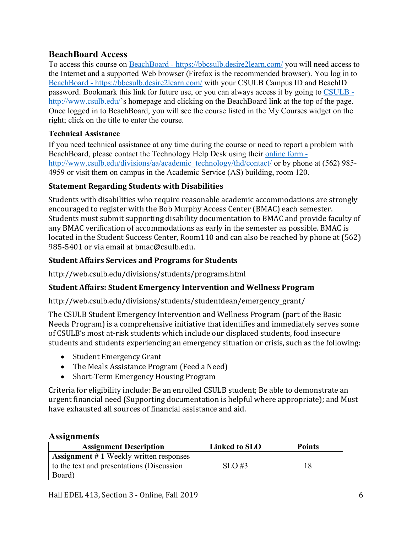## **BeachBoard Access**

To access this course on BeachBoard - https://bbcsulb.desire2learn.com/ you will need access to the Internet and a supported Web browser (Firefox is the recommended browser). You log in to BeachBoard - https://bbcsulb.desire2learn.com/ with your CSULB Campus ID and BeachID password. Bookmark this link for future use, or you can always access it by going to CSULB http://www.csulb.edu/'s homepage and clicking on the BeachBoard link at the top of the page. Once logged in to BeachBoard, you will see the course listed in the My Courses widget on the right; click on the title to enter the course.

#### **Technical Assistance**

If you need technical assistance at any time during the course or need to report a problem with BeachBoard, please contact the Technology Help Desk using their online form http://www.csulb.edu/divisions/aa/academic\_technology/thd/contact/ or by phone at (562) 985-4959 or visit them on campus in the Academic Service (AS) building, room 120.

### **Statement Regarding Students with Disabilities**

Students with disabilities who require reasonable academic accommodations are strongly encouraged to register with the Bob Murphy Access Center (BMAC) each semester. Students must submit supporting disability documentation to BMAC and provide faculty of any BMAC verification of accommodations as early in the semester as possible. BMAC is located in the Student Success Center, Room110 and can also be reached by phone at (562) 985-5401 or via email at bmac@csulb.edu.

## **Student Affairs Services and Programs for Students**

http://web.csulb.edu/divisions/students/programs.html

## **Student Affairs: Student Emergency Intervention and Wellness Program**

http://web.csulb.edu/divisions/students/studentdean/emergency\_grant/

The CSULB Student Emergency Intervention and Wellness Program (part of the Basic Needs Program) is a comprehensive initiative that identifies and immediately serves some of CSULB's most at-risk students which include our displaced students, food insecure students and students experiencing an emergency situation or crisis, such as the following:

- Student Emergency Grant
- The Meals Assistance Program (Feed a Need)
- Short-Term Emergency Housing Program

Criteria for eligibility include: Be an enrolled CSULB student; Be able to demonstrate an urgent financial need (Supporting documentation is helpful where appropriate); and Must have exhausted all sources of financial assistance and aid.

## **Assignments**

| <b>Assignment Description</b>                                                                        | Linked to SLO | <b>Points</b> |
|------------------------------------------------------------------------------------------------------|---------------|---------------|
| <b>Assignment #1 Weekly written responses</b><br>to the text and presentations (Discussion<br>Board) | $SLO \#3$     | 18            |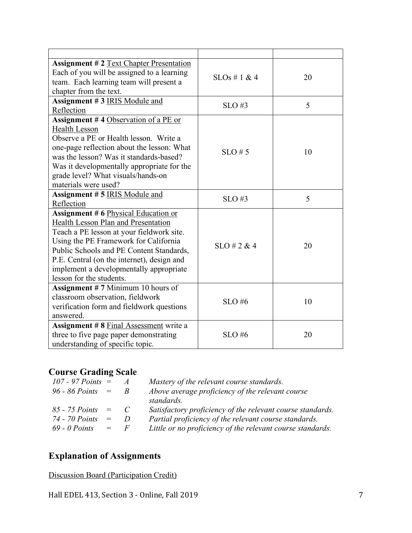| <b>Assignment #2 Text Chapter Presentation</b><br>Each of you will be assigned to a learning<br>team. Each learning team will present a<br>chapter from the text.                                                                                                                                                                               | $SLOs \# 1 \& 4$ | 20 |
|-------------------------------------------------------------------------------------------------------------------------------------------------------------------------------------------------------------------------------------------------------------------------------------------------------------------------------------------------|------------------|----|
| Assignment #3 IRIS Module and<br>Reflection                                                                                                                                                                                                                                                                                                     | $SLO$ #3         | 5  |
| Assignment #4 Observation of a PE or<br><b>Health Lesson</b><br>Observe a PE or Health lesson. Write a<br>one-page reflection about the lesson: What<br>was the lesson? Was it standards-based?<br>Was it developmentally appropriate for the<br>grade level? What visuals/hands-on<br>materials were used?                                     | $SLO \# 5$       | 10 |
| Assignment #5 IRIS Module and<br>Reflection                                                                                                                                                                                                                                                                                                     | $SLO$ #3         | 5  |
| <b>Assignment #6 Physical Education or</b><br><b>Health Lesson Plan and Presentation</b><br>Teach a PE lesson at your fieldwork site.<br>Using the PE Framework for California<br>Public Schools and PE Content Standards,<br>P.E. Central (on the internet), design and<br>implement a developmentally appropriate<br>lesson for the students. | $SLO \# 2 \& 4$  | 20 |
| <b>Assignment #7 Minimum 10 hours of</b><br>classroom observation, fieldwork<br>verification form and fieldwork questions<br>answered.                                                                                                                                                                                                          | <b>SLO#6</b>     | 10 |
| <b>Assignment #8 Final Assessment write a</b><br>three to five page paper demonstrating<br>understanding of specific topic.                                                                                                                                                                                                                     | $SLO$ #6         | 20 |

# **Course Grading Scale**

| 107 - 97 Points $=$  |                           | $\overline{A}$ | Mastery of the relevant course standards.                  |
|----------------------|---------------------------|----------------|------------------------------------------------------------|
| $96 - 86$ Points $=$ |                           | R              | Above average proficiency of the relevant course           |
|                      |                           |                | standards.                                                 |
| 85 - 75 Points       | $=$                       | $\mathcal{C}$  | Satisfactory proficiency of the relevant course standards. |
| 74 - 70 Points       | $=$                       | D              | Partial proficiency of the relevant course standards.      |
| $69 - 0$ Points      | $\mathbf{r} = \mathbf{r}$ | $\bm{F}$       | Little or no proficiency of the relevant course standards. |

# **Explanation of Assignments**

Discussion Board (Participation Credit)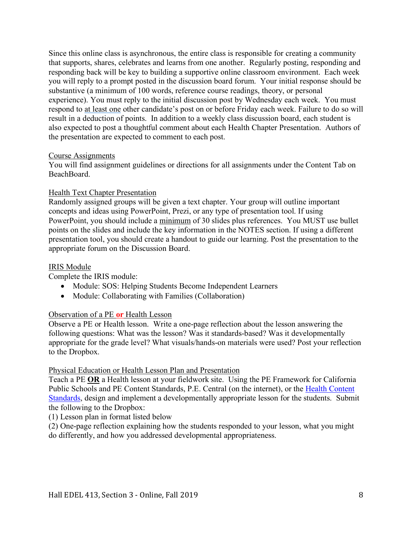Since this online class is asynchronous, the entire class is responsible for creating a community that supports, shares, celebrates and learns from one another. Regularly posting, responding and responding back will be key to building a supportive online classroom environment. Each week you will reply to a prompt posted in the discussion board forum. Your initial response should be substantive (a minimum of 100 words, reference course readings, theory, or personal experience). You must reply to the initial discussion post by Wednesday each week. You must respond to at least one other candidate's post on or before Friday each week. Failure to do so will result in a deduction of points. In addition to a weekly class discussion board, each student is also expected to post a thoughtful comment about each Health Chapter Presentation. Authors of the presentation are expected to comment to each post.

#### Course Assignments

You will find assignment guidelines or directions for all assignments under the Content Tab on BeachBoard.

#### Health Text Chapter Presentation

Randomly assigned groups will be given a text chapter. Your group will outline important concepts and ideas using PowerPoint, Prezi, or any type of presentation tool. If using PowerPoint, you should include a minimum of 30 slides plus references. You MUST use bullet points on the slides and include the key information in the NOTES section. If using a different presentation tool, you should create a handout to guide our learning. Post the presentation to the appropriate forum on the Discussion Board.

#### IRIS Module

Complete the IRIS module:

- Module: SOS: Helping Students Become Independent Learners
- Module: Collaborating with Families (Collaboration)

#### Observation of a PE **or** Health Lesson

Observe a PE or Health lesson. Write a one-page reflection about the lesson answering the following questions: What was the lesson? Was it standards-based? Was it developmentally appropriate for the grade level? What visuals/hands-on materials were used? Post your reflection to the Dropbox.

#### Physical Education or Health Lesson Plan and Presentation

Teach a PE **OR** a Health lesson at your fieldwork site. Using the PE Framework for California Public Schools and PE Content Standards, P.E. Central (on the internet), or the Health Content Standards, design and implement a developmentally appropriate lesson for the students. Submit the following to the Dropbox:

(1) Lesson plan in format listed below

(2) One-page reflection explaining how the students responded to your lesson, what you might do differently, and how you addressed developmental appropriateness.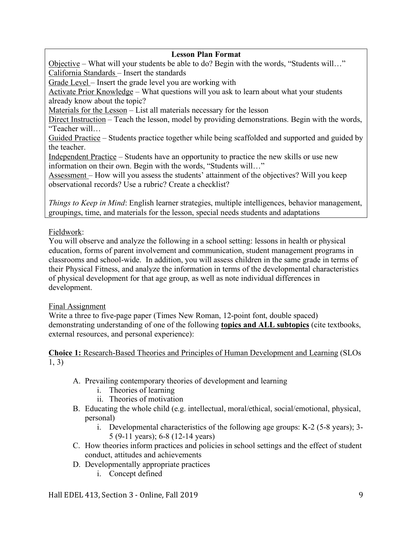### **Lesson Plan Format**

Objective – What will your students be able to do? Begin with the words, "Students will…" California Standards – Insert the standards

Grade Level – Insert the grade level you are working with

Activate Prior Knowledge – What questions will you ask to learn about what your students already know about the topic?

Materials for the Lesson – List all materials necessary for the lesson

Direct Instruction – Teach the lesson, model by providing demonstrations. Begin with the words, "Teacher will…

Guided Practice – Students practice together while being scaffolded and supported and guided by the teacher.

Independent Practice – Students have an opportunity to practice the new skills or use new information on their own. Begin with the words, "Students will…"

Assessment – How will you assess the students' attainment of the objectives? Will you keep observational records? Use a rubric? Create a checklist?

*Things to Keep in Mind*: English learner strategies, multiple intelligences, behavior management, groupings, time, and materials for the lesson, special needs students and adaptations

## Fieldwork:

You will observe and analyze the following in a school setting: lessons in health or physical education, forms of parent involvement and communication, student management programs in classrooms and school-wide. In addition, you will assess children in the same grade in terms of their Physical Fitness, and analyze the information in terms of the developmental characteristics of physical development for that age group, as well as note individual differences in development.

#### Final Assignment

Write a three to five-page paper (Times New Roman, 12-point font, double spaced) demonstrating understanding of one of the following **topics and ALL subtopics** (cite textbooks, external resources, and personal experience):

**Choice 1:** Research-Based Theories and Principles of Human Development and Learning (SLOs 1, 3)

- A. Prevailing contemporary theories of development and learning
	- i. Theories of learning
	- ii. Theories of motivation
- B. Educating the whole child (e.g. intellectual, moral/ethical, social/emotional, physical, personal)
	- i. Developmental characteristics of the following age groups: K-2 (5-8 years); 3- 5 (9-11 years); 6-8 (12-14 years)
- C. How theories inform practices and policies in school settings and the effect of student conduct, attitudes and achievements
- D. Developmentally appropriate practices
	- i. Concept defined

Hall EDEL 413, Section 3 - Online, Fall 2019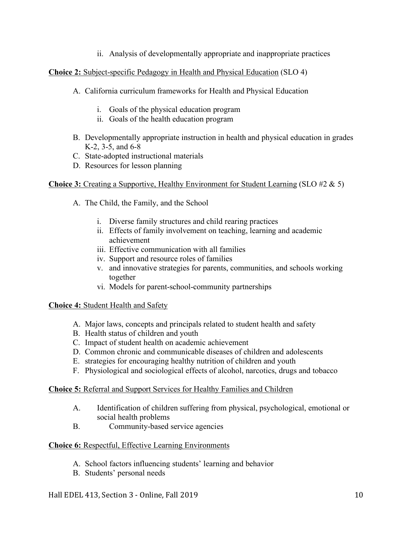ii. Analysis of developmentally appropriate and inappropriate practices

### **Choice 2:** Subject-specific Pedagogy in Health and Physical Education (SLO 4)

- A. California curriculum frameworks for Health and Physical Education
	- i. Goals of the physical education program
	- ii. Goals of the health education program
- B. Developmentally appropriate instruction in health and physical education in grades K-2, 3-5, and 6-8
- C. State-adopted instructional materials
- D. Resources for lesson planning

#### **Choice 3:** Creating a Supportive, Healthy Environment for Student Learning (SLO #2 & 5)

- A. The Child, the Family, and the School
	- i. Diverse family structures and child rearing practices
	- ii. Effects of family involvement on teaching, learning and academic achievement
	- iii. Effective communication with all families
	- iv. Support and resource roles of families
	- v. and innovative strategies for parents, communities, and schools working together
	- vi. Models for parent-school-community partnerships

#### **Choice 4:** Student Health and Safety

- A. Major laws, concepts and principals related to student health and safety
- B. Health status of children and youth
- C. Impact of student health on academic achievement
- D. Common chronic and communicable diseases of children and adolescents
- E. strategies for encouraging healthy nutrition of children and youth
- F. Physiological and sociological effects of alcohol, narcotics, drugs and tobacco

#### **Choice 5:** Referral and Support Services for Healthy Families and Children

- A. Identification of children suffering from physical, psychological, emotional or social health problems
- B. Community-based service agencies

#### **Choice 6:** Respectful, Effective Learning Environments

- A. School factors influencing students' learning and behavior
- B. Students' personal needs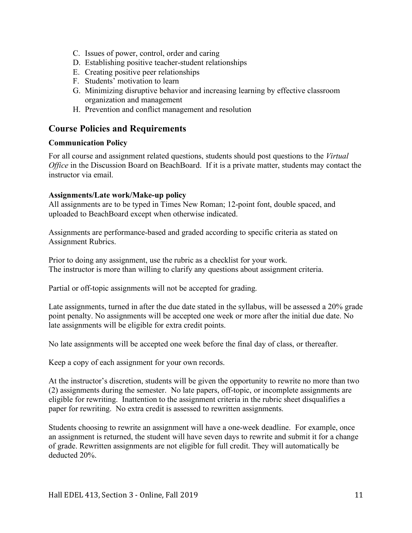- C. Issues of power, control, order and caring
- D. Establishing positive teacher-student relationships
- E. Creating positive peer relationships
- F. Students' motivation to learn
- G. Minimizing disruptive behavior and increasing learning by effective classroom organization and management
- H. Prevention and conflict management and resolution

## **Course Policies and Requirements**

#### **Communication Policy**

For all course and assignment related questions, students should post questions to the *Virtual Office* in the Discussion Board on BeachBoard. If it is a private matter, students may contact the instructor via email.

#### **Assignments/Late work/Make-up policy**

All assignments are to be typed in Times New Roman; 12-point font, double spaced, and uploaded to BeachBoard except when otherwise indicated.

Assignments are performance-based and graded according to specific criteria as stated on Assignment Rubrics.

Prior to doing any assignment, use the rubric as a checklist for your work. The instructor is more than willing to clarify any questions about assignment criteria.

Partial or off-topic assignments will not be accepted for grading.

Late assignments, turned in after the due date stated in the syllabus, will be assessed a 20% grade point penalty. No assignments will be accepted one week or more after the initial due date. No late assignments will be eligible for extra credit points.

No late assignments will be accepted one week before the final day of class, or thereafter.

Keep a copy of each assignment for your own records.

At the instructor's discretion, students will be given the opportunity to rewrite no more than two (2) assignments during the semester. No late papers, off-topic, or incomplete assignments are eligible for rewriting. Inattention to the assignment criteria in the rubric sheet disqualifies a paper for rewriting. No extra credit is assessed to rewritten assignments.

Students choosing to rewrite an assignment will have a one-week deadline. For example, once an assignment is returned, the student will have seven days to rewrite and submit it for a change of grade. Rewritten assignments are not eligible for full credit. They will automatically be deducted 20%.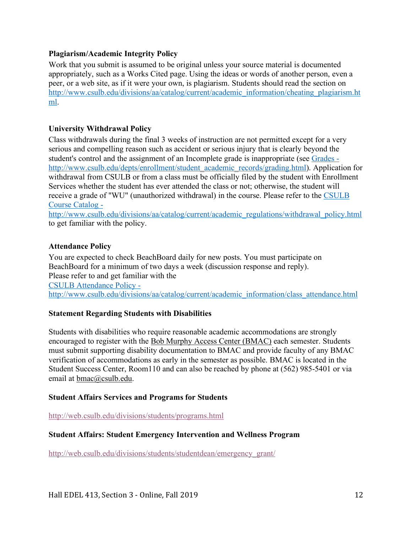#### **Plagiarism/Academic Integrity Policy**

Work that you submit is assumed to be original unless your source material is documented appropriately, such as a Works Cited page. Using the ideas or words of another person, even a peer, or a web site, as if it were your own, is plagiarism. Students should read the section on http://www.csulb.edu/divisions/aa/catalog/current/academic\_information/cheating\_plagiarism.ht ml.

#### **University Withdrawal Policy**

Class withdrawals during the final 3 weeks of instruction are not permitted except for a very serious and compelling reason such as accident or serious injury that is clearly beyond the student's control and the assignment of an Incomplete grade is inappropriate (see Grades http://www.csulb.edu/depts/enrollment/student\_academic\_records/grading.html). Application for withdrawal from CSULB or from a class must be officially filed by the student with Enrollment Services whether the student has ever attended the class or not; otherwise, the student will receive a grade of "WU" (unauthorized withdrawal) in the course. Please refer to the CSULB Course Catalog -

http://www.csulb.edu/divisions/aa/catalog/current/academic\_regulations/withdrawal\_policy.html to get familiar with the policy.

#### **Attendance Policy**

You are expected to check BeachBoard daily for new posts. You must participate on BeachBoard for a minimum of two days a week (discussion response and reply). Please refer to and get familiar with the CSULB Attendance Policy http://www.csulb.edu/divisions/aa/catalog/current/academic\_information/class\_attendance.html

#### **Statement Regarding Students with Disabilities**

Students with disabilities who require reasonable academic accommodations are strongly encouraged to register with the Bob Murphy Access Center (BMAC) each semester. Students must submit supporting disability documentation to BMAC and provide faculty of any BMAC verification of accommodations as early in the semester as possible. BMAC is located in the Student Success Center, Room110 and can also be reached by phone at (562) 985-5401 or via email at bmac@csulb.edu.

#### **Student Affairs Services and Programs for Students**

http://web.csulb.edu/divisions/students/programs.html

#### **Student Affairs: Student Emergency Intervention and Wellness Program**

http://web.csulb.edu/divisions/students/studentdean/emergency\_grant/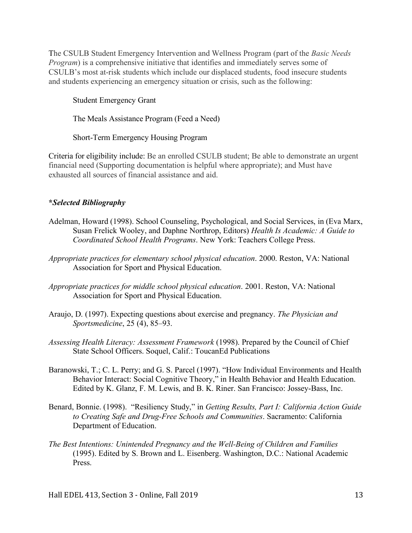The CSULB Student Emergency Intervention and Wellness Program (part of the *Basic Needs Program*) is a comprehensive initiative that identifies and immediately serves some of CSULB's most at-risk students which include our displaced students, food insecure students and students experiencing an emergency situation or crisis, such as the following:

Student Emergency Grant

The Meals Assistance Program (Feed a Need)

Short-Term Emergency Housing Program

Criteria for eligibility include: Be an enrolled CSULB student; Be able to demonstrate an urgent financial need (Supporting documentation is helpful where appropriate); and Must have exhausted all sources of financial assistance and aid.

### **\****Selected Bibliography*

- Adelman, Howard (1998). School Counseling, Psychological, and Social Services, in (Eva Marx, Susan Frelick Wooley, and Daphne Northrop, Editors) *Health Is Academic: A Guide to Coordinated School Health Programs*. New York: Teachers College Press.
- *Appropriate practices for elementary school physical education*. 2000. Reston, VA: National Association for Sport and Physical Education.
- *Appropriate practices for middle school physical education*. 2001. Reston, VA: National Association for Sport and Physical Education.
- Araujo, D. (1997). Expecting questions about exercise and pregnancy. *The Physician and Sportsmedicine*, 25 (4), 85–93.
- *Assessing Health Literacy: Assessment Framework* (1998). Prepared by the Council of Chief State School Officers. Soquel, Calif.: ToucanEd Publications
- Baranowski, T.; C. L. Perry; and G. S. Parcel (1997). "How Individual Environments and Health Behavior Interact: Social Cognitive Theory," in Health Behavior and Health Education. Edited by K. Glanz, F. M. Lewis, and B. K. Riner. San Francisco: Jossey-Bass, Inc.
- Benard, Bonnie. (1998). "Resiliency Study," in *Getting Results, Part I: California Action Guide to Creating Safe and Drug-Free Schools and Communities*. Sacramento: California Department of Education.
- *The Best Intentions: Unintended Pregnancy and the Well-Being of Children and Families* (1995). Edited by S. Brown and L. Eisenberg. Washington, D.C.: National Academic Press.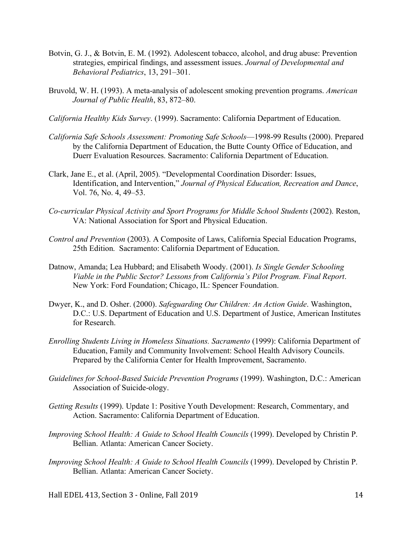- Botvin, G. J., & Botvin, E. M. (1992). Adolescent tobacco, alcohol, and drug abuse: Prevention strategies, empirical findings, and assessment issues. *Journal of Developmental and Behavioral Pediatrics*, 13, 291–301.
- Bruvold, W. H. (1993). A meta-analysis of adolescent smoking prevention programs. *American Journal of Public Health*, 83, 872–80.
- *California Healthy Kids Survey*. (1999). Sacramento: California Department of Education.
- *California Safe Schools Assessment: Promoting Safe Schools*—1998-99 Results (2000). Prepared by the California Department of Education, the Butte County Office of Education, and Duerr Evaluation Resources. Sacramento: California Department of Education.
- Clark, Jane E., et al. (April, 2005). "Developmental Coordination Disorder: Issues, Identification, and Intervention," *Journal of Physical Education, Recreation and Dance*, Vol. 76, No. 4, 49–53.
- *Co-curricular Physical Activity and Sport Programs for Middle School Students* (2002). Reston, VA: National Association for Sport and Physical Education.
- *Control and Prevention* (2003). A Composite of Laws, California Special Education Programs, 25th Edition. Sacramento: California Department of Education.
- Datnow, Amanda; Lea Hubbard; and Elisabeth Woody. (2001). *Is Single Gender Schooling Viable in the Public Sector? Lessons from California's Pilot Program. Final Report*. New York: Ford Foundation; Chicago, IL: Spencer Foundation.
- Dwyer, K., and D. Osher. (2000). *Safeguarding Our Children: An Action Guide*. Washington, D.C.: U.S. Department of Education and U.S. Department of Justice, American Institutes for Research.
- *Enrolling Students Living in Homeless Situations. Sacramento* (1999): California Department of Education, Family and Community Involvement: School Health Advisory Councils. Prepared by the California Center for Health Improvement, Sacramento.
- *Guidelines for School-Based Suicide Prevention Programs* (1999). Washington, D.C.: American Association of Suicide-ology.
- *Getting Results* (1999). Update 1: Positive Youth Development: Research, Commentary, and Action. Sacramento: California Department of Education.
- *Improving School Health: A Guide to School Health Councils* (1999). Developed by Christin P. Bellian. Atlanta: American Cancer Society.
- *Improving School Health: A Guide to School Health Councils* (1999). Developed by Christin P. Bellian. Atlanta: American Cancer Society.

Hall EDEL 413, Section 3 - Online, Fall 2019 14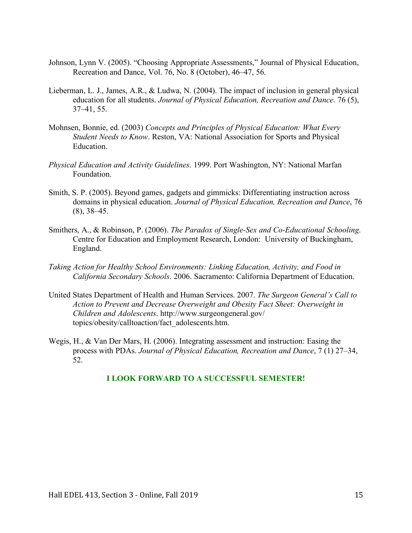- Johnson, Lynn V. (2005). "Choosing Appropriate Assessments," Journal of Physical Education, Recreation and Dance, Vol. 76, No. 8 (October), 46–47, 56.
- Lieberman, L. J., James, A.R., & Ludwa, N. (2004). The impact of inclusion in general physical education for all students. *Journal of Physical Education, Recreation and Dance*. 76 (5), 37–41, 55.
- Mohnsen, Bonnie, ed. (2003) *Concepts and Principles of Physical Education: What Every Student Needs to Know*. Reston, VA: National Association for Sports and Physical **Education**
- *Physical Education and Activity Guidelines*. 1999. Port Washington, NY: National Marfan Foundation.
- Smith, S. P. (2005). Beyond games, gadgets and gimmicks: Differentiating instruction across domains in physical education. *Journal of Physical Education, Recreation and Dance*, 76 (8), 38–45.
- Smithers, A., & Robinson, P. (2006). *The Paradox of Single-Sex and Co-Educational Schooling*. Centre for Education and Employment Research, London: University of Buckingham, England.
- *Taking Action for Healthy School Environments: Linking Education, Activity, and Food in California Secondary Schools*. 2006. Sacramento: California Department of Education.
- United States Department of Health and Human Services. 2007. *The Surgeon General's Call to Action to Prevent and Decrease Overweight and Obesity Fact Sheet: Overweight in Children and Adolescents*. http://www.surgeongeneral.gov/ topics/obesity/calltoaction/fact\_adolescents.htm.
- Wegis, H., & Van Der Mars, H. (2006). Integrating assessment and instruction: Easing the process with PDAs. *Journal of Physical Education, Recreation and Dance*, 7 (1) 27–34, 52.

#### **I LOOK FORWARD TO A SUCCESSFUL SEMESTER!**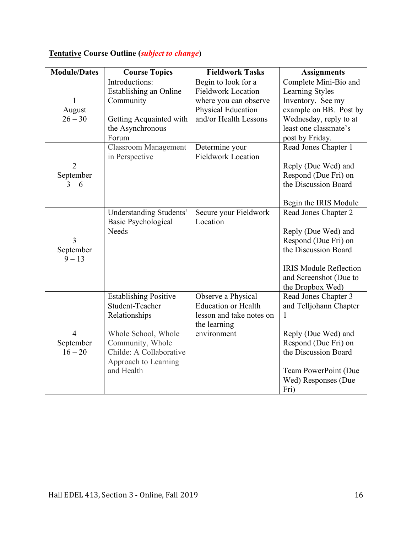# **Tentative Course Outline (***subject to change***)**

| <b>Module/Dates</b> | <b>Course Topics</b>               | <b>Fieldwork Tasks</b>     | <b>Assignments</b>                           |
|---------------------|------------------------------------|----------------------------|----------------------------------------------|
|                     | Introductions:                     | Begin to look for a        | Complete Mini-Bio and                        |
|                     | Establishing an Online             | <b>Fieldwork Location</b>  | Learning Styles                              |
| 1                   | Community                          | where you can observe      | Inventory. See my                            |
| August              |                                    | Physical Education         | example on BB. Post by                       |
| $26 - 30$           | Getting Acquainted with            | and/or Health Lessons      | Wednesday, reply to at                       |
|                     | the Asynchronous                   |                            | least one classmate's                        |
|                     | Forum                              |                            | post by Friday.                              |
|                     | <b>Classroom Management</b>        | Determine your             | Read Jones Chapter 1                         |
|                     | in Perspective                     | <b>Fieldwork Location</b>  |                                              |
| $\overline{2}$      |                                    |                            | Reply (Due Wed) and                          |
| September           |                                    |                            | Respond (Due Fri) on                         |
| $3 - 6$             |                                    |                            | the Discussion Board                         |
|                     |                                    |                            |                                              |
|                     |                                    |                            | Begin the IRIS Module                        |
|                     | <b>Understanding Students'</b>     | Secure your Fieldwork      | Read Jones Chapter 2                         |
|                     | <b>Basic Psychological</b>         | Location                   |                                              |
|                     | Needs                              |                            | Reply (Due Wed) and                          |
| 3                   |                                    |                            | Respond (Due Fri) on                         |
| September           |                                    |                            | the Discussion Board                         |
| $9 - 13$            |                                    |                            |                                              |
|                     |                                    |                            | <b>IRIS Module Reflection</b>                |
|                     |                                    |                            | and Screenshot (Due to                       |
|                     |                                    |                            | the Dropbox Wed)                             |
|                     | <b>Establishing Positive</b>       | Observe a Physical         | Read Jones Chapter 3                         |
|                     | Student-Teacher                    | <b>Education or Health</b> | and Telljohann Chapter                       |
|                     | Relationships                      | lesson and take notes on   | 1                                            |
|                     |                                    | the learning               |                                              |
| $\overline{4}$      | Whole School, Whole                | environment                | Reply (Due Wed) and                          |
| September           | Community, Whole                   |                            | Respond (Due Fri) on<br>the Discussion Board |
| $16 - 20$           | Childe: A Collaborative            |                            |                                              |
|                     | Approach to Learning<br>and Health |                            |                                              |
|                     |                                    |                            | Team PowerPoint (Due<br>Wed) Responses (Due  |
|                     |                                    |                            |                                              |
|                     |                                    |                            | Fri)                                         |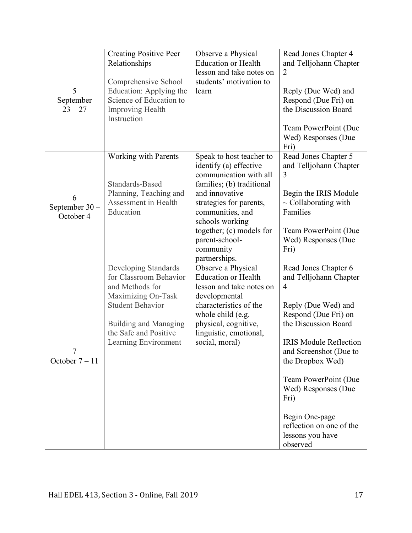| 5<br>September<br>$23 - 27$     | <b>Creating Positive Peer</b><br>Relationships<br>Comprehensive School<br>Education: Applying the<br>Science of Education to<br><b>Improving Health</b><br>Instruction                       | Observe a Physical<br><b>Education or Health</b><br>lesson and take notes on<br>students' motivation to<br>learn                                                                                                                                                          | Read Jones Chapter 4<br>and Telljohann Chapter<br>$\overline{2}$<br>Reply (Due Wed) and<br>Respond (Due Fri) on<br>the Discussion Board<br>Team PowerPoint (Due<br>Wed) Responses (Due<br>Fri)                                                                                                                                                              |
|---------------------------------|----------------------------------------------------------------------------------------------------------------------------------------------------------------------------------------------|---------------------------------------------------------------------------------------------------------------------------------------------------------------------------------------------------------------------------------------------------------------------------|-------------------------------------------------------------------------------------------------------------------------------------------------------------------------------------------------------------------------------------------------------------------------------------------------------------------------------------------------------------|
| 6<br>September 30-<br>October 4 | <b>Working with Parents</b><br>Standards-Based<br>Planning, Teaching and<br>Assessment in Health<br>Education                                                                                | Speak to host teacher to<br>identify (a) effective<br>communication with all<br>families; (b) traditional<br>and innovative<br>strategies for parents,<br>communities, and<br>schools working<br>together; (c) models for<br>parent-school-<br>community<br>partnerships. | Read Jones Chapter 5<br>and Telljohann Chapter<br>3<br>Begin the IRIS Module<br>$\sim$ Collaborating with<br>Families<br>Team PowerPoint (Due<br>Wed) Responses (Due<br>Fri)                                                                                                                                                                                |
| 7<br>October $7-11$             | Developing Standards<br>for Classroom Behavior<br>and Methods for<br>Maximizing On-Task<br><b>Student Behavior</b><br>Building and Managing<br>the Safe and Positive<br>Learning Environment | Observe a Physical<br><b>Education or Health</b><br>lesson and take notes on<br>developmental<br>characteristics of the<br>whole child (e.g.<br>physical, cognitive,<br>linguistic, emotional,<br>social, moral)                                                          | Read Jones Chapter 6<br>and Telljohann Chapter<br>$\overline{4}$<br>Reply (Due Wed) and<br>Respond (Due Fri) on<br>the Discussion Board<br><b>IRIS Module Reflection</b><br>and Screenshot (Due to<br>the Dropbox Wed)<br>Team PowerPoint (Due<br>Wed) Responses (Due<br>Fri)<br>Begin One-page<br>reflection on one of the<br>lessons you have<br>observed |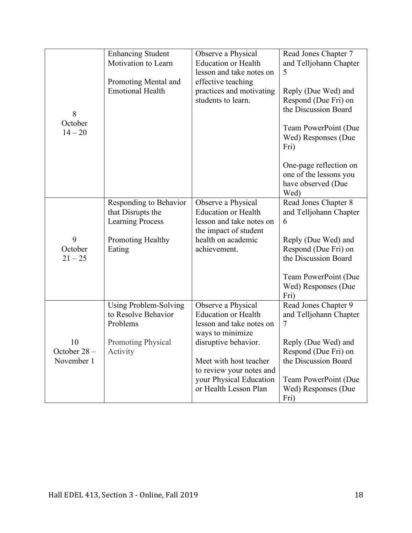|                      | <b>Enhancing Student</b><br>Motivation to Learn | Observe a Physical<br><b>Education or Health</b>                     | Read Jones Chapter 7<br>and Telljohann Chapter                                 |
|----------------------|-------------------------------------------------|----------------------------------------------------------------------|--------------------------------------------------------------------------------|
|                      |                                                 | lesson and take notes on                                             | 5                                                                              |
| 8                    | Promoting Mental and<br><b>Emotional Health</b> | effective teaching<br>practices and motivating<br>students to learn. | Reply (Due Wed) and<br>Respond (Due Fri) on<br>the Discussion Board            |
| October<br>$14 - 20$ |                                                 |                                                                      | Team PowerPoint (Due<br>Wed) Responses (Due<br>Fri)                            |
|                      |                                                 |                                                                      | One-page reflection on<br>one of the lessons you<br>have observed (Due<br>Wed) |
|                      | Responding to Behavior<br>that Disrupts the     | Observe a Physical<br><b>Education or Health</b>                     | Read Jones Chapter 8<br>and Telljohann Chapter                                 |
|                      | <b>Learning Process</b>                         | lesson and take notes on<br>the impact of student                    | 6                                                                              |
| 9                    | Promoting Healthy                               | health on academic                                                   | Reply (Due Wed) and                                                            |
| October              | Eating                                          | achievement.                                                         | Respond (Due Fri) on                                                           |
| $21 - 25$            |                                                 |                                                                      | the Discussion Board                                                           |
|                      |                                                 |                                                                      | Team PowerPoint (Due<br>Wed) Responses (Due<br>Fri)                            |
|                      | Using Problem-Solving<br>to Resolve Behavior    | Observe a Physical<br><b>Education or Health</b>                     | Read Jones Chapter 9                                                           |
|                      | Problems                                        | lesson and take notes on                                             | and Telljohann Chapter<br>7                                                    |
|                      |                                                 | ways to minimize                                                     |                                                                                |
| 10<br>October 28-    | <b>Promoting Physical</b>                       | disruptive behavior.                                                 | Reply (Due Wed) and                                                            |
| November 1           | Activity                                        | Meet with host teacher                                               | Respond (Due Fri) on<br>the Discussion Board                                   |
|                      |                                                 | to review your notes and                                             |                                                                                |
|                      |                                                 | your Physical Education                                              | Team PowerPoint (Due                                                           |
|                      |                                                 | or Health Lesson Plan                                                | Wed) Responses (Due<br>Fri)                                                    |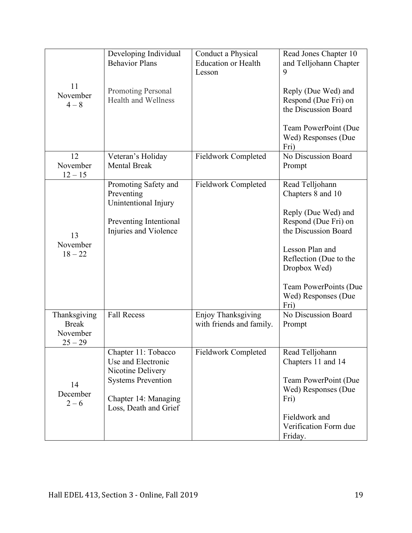| 11<br>November<br>$4 - 8$                             | Developing Individual<br><b>Behavior Plans</b><br><b>Promoting Personal</b><br><b>Health and Wellness</b>                                    | Conduct a Physical<br><b>Education or Health</b><br>Lesson | Read Jones Chapter 10<br>and Telljohann Chapter<br>9<br>Reply (Due Wed) and<br>Respond (Due Fri) on<br>the Discussion Board<br>Team PowerPoint (Due<br>Wed) Responses (Due<br>Fri)                                               |
|-------------------------------------------------------|----------------------------------------------------------------------------------------------------------------------------------------------|------------------------------------------------------------|----------------------------------------------------------------------------------------------------------------------------------------------------------------------------------------------------------------------------------|
| 12<br>November<br>$12 - 15$                           | Veteran's Holiday<br><b>Mental Break</b>                                                                                                     | <b>Fieldwork Completed</b>                                 | No Discussion Board<br>Prompt                                                                                                                                                                                                    |
| 13<br>November<br>$18 - 22$                           | Promoting Safety and<br>Preventing<br>Unintentional Injury<br>Preventing Intentional<br>Injuries and Violence                                | <b>Fieldwork Completed</b>                                 | Read Telljohann<br>Chapters 8 and 10<br>Reply (Due Wed) and<br>Respond (Due Fri) on<br>the Discussion Board<br>Lesson Plan and<br>Reflection (Due to the<br>Dropbox Wed)<br>Team PowerPoints (Due<br>Wed) Responses (Due<br>Fri) |
| Thanksgiving<br><b>Break</b><br>November<br>$25 - 29$ | <b>Fall Recess</b>                                                                                                                           | Enjoy Thanksgiving<br>with friends and family.             | No Discussion Board<br>Prompt                                                                                                                                                                                                    |
| 14<br>December<br>$2 - 6$                             | Chapter 11: Tobacco<br>Use and Electronic<br>Nicotine Delivery<br><b>Systems Prevention</b><br>Chapter 14: Managing<br>Loss, Death and Grief | <b>Fieldwork Completed</b>                                 | Read Telljohann<br>Chapters 11 and 14<br>Team PowerPoint (Due<br>Wed) Responses (Due<br>Fri)<br>Fieldwork and<br>Verification Form due<br>Friday.                                                                                |